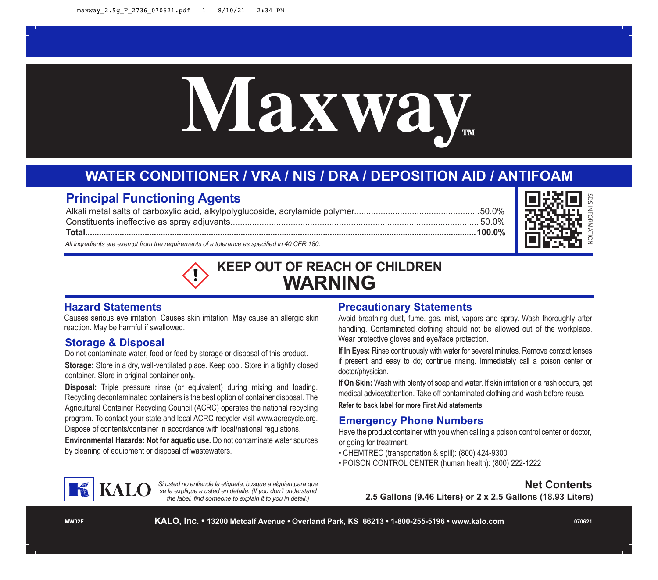# **Maxway™**

# **WATER CONDITIONER / VRA / NIS / DRA / DEPOSITION AID / ANTIFOAM**

## **Principal Functioning Agents**

*All ingredients are exempt from the requirements of a tolerance as specified in 40 CFR 180.* Alkali metal salts of carboxylic acid, alkylpolyglucoside, acrylamide polymer....................................................50.0% Constituents ineffective as spray adjuvants....................................................................................................... 50.0% **Total...........................................................................................................................................................................100.0%**



# **KEEP OUT OF REACH OF CHILDREN WARNING**

### **Hazard Statements**

Causes serious eye irritation. Causes skin irritation. May cause an allergic skin reaction. May be harmful if swallowed.

### **Storage & Disposal**

Do not contaminate water, food or feed by storage or disposal of this product. **Storage:** Store in a dry, well-ventilated place. Keep cool. Store in a tightly closed container. Store in original container only.

**Disposal:** Triple pressure rinse (or equivalent) during mixing and loading. Recycling decontaminated containers is the best option of container disposal. The Agricultural Container Recycling Council (ACRC) operates the national recycling program. To contact your state and local ACRC recycler visit www.acrecycle.org. Dispose of contents/container in accordance with local/national regulations.

**Environmental Hazards: Not for aquatic use.** Do not contaminate water sources by cleaning of equipment or disposal of wastewaters.

### **Precautionary Statements**

Avoid breathing dust, fume, gas, mist, vapors and spray. Wash thoroughly after handling. Contaminated clothing should not be allowed out of the workplace. Wear protective gloves and eye/face protection.

**If In Eyes:** Rinse continuously with water for several minutes. Remove contact lenses if present and easy to do; continue rinsing. Immediately call a poison center or doctor/physician.

**If On Skin:** Wash with plenty of soap and water. If skin irritation or a rash occurs, get medical advice/attention. Take off contaminated clothing and wash before reuse.

**Refer to back label for more First Aid statements.**

### **Emergency Phone Numbers**

Have the product container with you when calling a poison control center or doctor, or going for treatment.

- CHEMTREC (transportation & spill): (800) 424-9300
- POISON CONTROL CENTER (human health): (800) 222-1222



*Si usted no entiende la etiqueta, busque a alguien para que se la explique a usted en detalle. (If you don't understand the label, find someone to explain it to you in detail.)*

### **Net Contents**

**2.5 Gallons (9.46 Liters) or 2 x 2.5 Gallons (18.93 Liters)**

**MW02F**